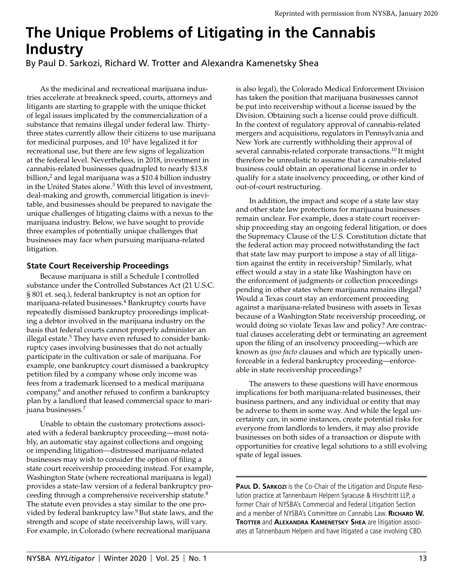## **The Unique Problems of Litigating in the Cannabis Industry**

#### By Paul D. Sarkozi, Richard W. Trotter and Alexandra Kamenetsky Shea

As the medicinal and recreational marijuana industries accelerate at breakneck speed, courts, attorneys and litigants are starting to grapple with the unique thicket of legal issues implicated by the commercialization of a substance that remains illegal under federal law. Thirtythree states currently allow their citizens to use marijuana for medicinal purposes, and 101 have legalized it for recreational use, but there are few signs of legalization at the federal level. Nevertheless, in 2018, investment in cannabis-related businesses quadrupled to nearly \$13.8 billion,2 and legal marijuana was a \$10.4 billion industry in the United States alone.3 With this level of investment, deal-making and growth, commercial litigation is inevitable, and businesses should be prepared to navigate the unique challenges of litigating claims with a nexus to the marijuana industry. Below, we have sought to provide three examples of potentially unique challenges that businesses may face when pursuing marijuana-related litigation.

#### **State Court Receivership Proceedings**

Because marijuana is still a Schedule I controlled substance under the Controlled Substances Act (21 U.S.C. § 801 et. seq.), federal bankruptcy is not an option for marijuana-related businesses.<sup>4</sup> Bankruptcy courts have repeatedly dismissed bankruptcy proceedings implicating a debtor involved in the marijuana industry on the basis that federal courts cannot properly administer an illegal estate.<sup>5</sup> They have even refused to consider bankruptcy cases involving businesses that do not actually participate in the cultivation or sale of marijuana. For example, one bankruptcy court dismissed a bankruptcy petition filed by a company whose only income was fees from a trademark licensed to a medical marijuana company, $6$  and another refused to confirm a bankruptcy plan by a landlord that leased commercial space to marijuana businesses.7

Unable to obtain the customary protections associated with a federal bankruptcy proceeding—most notably, an automatic stay against collections and ongoing or impending litigation—distressed marijuana-related businesses may wish to consider the option of filing a state court receivership proceeding instead. For example, Washington State (where recreational marijuana is legal) provides a state-law version of a federal bankruptcy proceeding through a comprehensive receivership statute.8 The statute even provides a stay similar to the one provided by federal bankruptcy law.<sup>9</sup> But state laws, and the strength and scope of state receivership laws, will vary. For example, in Colorado (where recreational marijuana

is also legal), the Colorado Medical Enforcement Division has taken the position that marijuana businesses cannot be put into receivership without a license issued by the Division. Obtaining such a license could prove difficult. In the context of regulatory approval of cannabis-related mergers and acquisitions, regulators in Pennsylvania and New York are currently withholding their approval of several cannabis-related corporate transactions.<sup>10</sup> It might therefore be unrealistic to assume that a cannabis-related business could obtain an operational license in order to qualify for a state insolvency proceeding, or other kind of out-of-court restructuring.

In addition, the impact and scope of a state law stay and other state law protections for marijuana businesses remain unclear. For example, does a state court receivership proceeding stay an ongoing federal litigation, or does the Supremacy Clause of the U.S. Constitution dictate that the federal action may proceed notwithstanding the fact that state law may purport to impose a stay of all litigation against the entity in receivership? Similarly, what effect would a stay in a state like Washington have on the enforcement of judgments or collection proceedings pending in other states where marijuana remains illegal? Would a Texas court stay an enforcement proceeding against a marijuana-related business with assets in Texas because of a Washington State receivership proceeding, or would doing so violate Texas law and policy? Are contractual clauses accelerating debt or terminating an agreement upon the filing of an insolvency proceeding—which are known as *ipso facto* clauses and which are typically unenforceable in a federal bankruptcy proceeding—enforceable in state receivership proceedings?

The answers to these questions will have enormous implications for both marijuana-related businesses, their business partners, and any individual or entity that may be adverse to them in some way. And while the legal uncertainty can, in some instances, create potential risks for everyone from landlords to lenders, it may also provide businesses on both sides of a transaction or dispute with opportunities for creative legal solutions to a still evolving spate of legal issues.

**PAUL D. SARKOZI** is the Co-Chair of the Litigation and Dispute Resolution practice at Tannenbaum Helpern Syracuse & Hirschtritt LLP, a former Chair of NYSBA's Commercial and Federal Litigation Section and a member of NYSBA's Committee on Cannabis Law. RICHARD W. **TROTTER and ALEXANDRA KAMENETSKY SHEA are litigation associ**ates at Tannenbaum Helpern and have litigated a case involving CBD.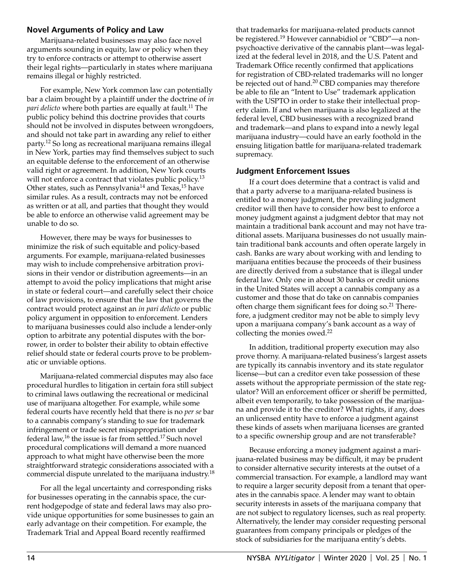#### **Novel Arguments of Policy and Law**

Marijuana-related businesses may also face novel arguments sounding in equity, law or policy when they try to enforce contracts or attempt to otherwise assert their legal rights—particularly in states where marijuana remains illegal or highly restricted.

For example, New York common law can potentially bar a claim brought by a plaintiff under the doctrine of *in pari delicto* where both parties are equally at fault.<sup>11</sup> The public policy behind this doctrine provides that courts should not be involved in disputes between wrongdoers, and should not take part in awarding any relief to either party.12 So long as recreational marijuana remains illegal in New York, parties may find themselves subject to such an equitable defense to the enforcement of an otherwise valid right or agreement. In addition, New York courts will not enforce a contract that violates public policy.<sup>13</sup> Other states, such as Pennsylvania<sup>14</sup> and Texas,<sup>15</sup> have similar rules. As a result, contracts may not be enforced as written or at all, and parties that thought they would be able to enforce an otherwise valid agreement may be unable to do so.

However, there may be ways for businesses to minimize the risk of such equitable and policy-based arguments. For example, marijuana-related businesses may wish to include comprehensive arbitration provisions in their vendor or distribution agreements—in an attempt to avoid the policy implications that might arise in state or federal court—and carefully select their choice of law provisions, to ensure that the law that governs the contract would protect against an *in pari delicto* or public policy argument in opposition to enforcement. Lenders to marijuana businesses could also include a lender-only option to arbitrate any potential disputes with the borrower, in order to bolster their ability to obtain effective relief should state or federal courts prove to be problematic or unviable options.

Marijuana-related commercial disputes may also face procedural hurdles to litigation in certain fora still subject to criminal laws outlawing the recreational or medicinal use of marijuana altogether. For example, while some federal courts have recently held that there is no *per se* bar to a cannabis company's standing to sue for trademark infringement or trade secret misappropriation under federal law,<sup>16</sup> the issue is far from settled.<sup>17</sup> Such novel procedural complications will demand a more nuanced approach to what might have otherwise been the more straightforward strategic considerations associated with a commercial dispute unrelated to the marijuana industry.18

For all the legal uncertainty and corresponding risks for businesses operating in the cannabis space, the current hodgepodge of state and federal laws may also provide unique opportunities for some businesses to gain an early advantage on their competition. For example, the Trademark Trial and Appeal Board recently reaffirmed

that trademarks for marijuana-related products cannot be registered.19 However cannabidiol or "CBD"—a nonpsychoactive derivative of the cannabis plant—was legalized at the federal level in 2018, and the U.S. Patent and Trademark Office recently confirmed that applications for registration of CBD-related trademarks will no longer be rejected out of hand.<sup>20</sup> CBD companies may therefore be able to file an "Intent to Use" trademark application with the USPTO in order to stake their intellectual property claim. If and when marijuana is also legalized at the federal level, CBD businesses with a recognized brand and trademark—and plans to expand into a newly legal marijuana industry—could have an early foothold in the ensuing litigation battle for marijuana-related trademark supremacy.

#### **Judgment Enforcement Issues**

If a court does determine that a contract is valid and that a party adverse to a marijuana-related business is entitled to a money judgment, the prevailing judgment creditor will then have to consider how best to enforce a money judgment against a judgment debtor that may not maintain a traditional bank account and may not have traditional assets. Marijuana businesses do not usually maintain traditional bank accounts and often operate largely in cash. Banks are wary about working with and lending to marijuana entities because the proceeds of their business are directly derived from a substance that is illegal under federal law. Only one in about 30 banks or credit unions in the United States will accept a cannabis company as a customer and those that do take on cannabis companies often charge them significant fees for doing so.<sup>21</sup> Therefore, a judgment creditor may not be able to simply levy upon a marijuana company's bank account as a way of collecting the monies owed.<sup>22</sup>

In addition, traditional property execution may also prove thorny. A marijuana-related business's largest assets are typically its cannabis inventory and its state regulator license—but can a creditor even take possession of these assets without the appropriate permission of the state regulator? Will an enforcement officer or sheriff be permitted, albeit even temporarily, to take possession of the marijuana and provide it to the creditor? What rights, if any, does an unlicensed entity have to enforce a judgment against these kinds of assets when marijuana licenses are granted to a specific ownership group and are not transferable?

Because enforcing a money judgment against a marijuana-related business may be difficult, it may be prudent to consider alternative security interests at the outset of a commercial transaction. For example, a landlord may want to require a larger security deposit from a tenant that operates in the cannabis space. A lender may want to obtain security interests in assets of the marijuana company that are not subject to regulatory licenses, such as real property. Alternatively, the lender may consider requesting personal guarantees from company principals or pledges of the stock of subsidiaries for the marijuana entity's debts.